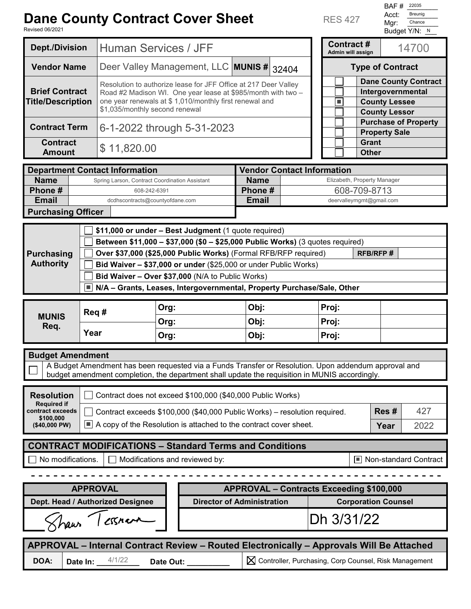## **Dane County Contract Cover Sheet**

Revised 06/2021

RES 427

BAF # 22035 Acct: Breunig Mgr: Chance Breunig Chance

| kevised 06/2021                                                                          |          |                                                                                                                                                                                                                              |                                                                                                      |                                                         |                             | Budget Y/N: N                                                                                    |  |  |  |  |
|------------------------------------------------------------------------------------------|----------|------------------------------------------------------------------------------------------------------------------------------------------------------------------------------------------------------------------------------|------------------------------------------------------------------------------------------------------|---------------------------------------------------------|-----------------------------|--------------------------------------------------------------------------------------------------|--|--|--|--|
| <b>Dept./Division</b>                                                                    |          | Human Services / JFF                                                                                                                                                                                                         |                                                                                                      |                                                         |                             | <b>Contract#</b><br>14700<br>Admin will assign                                                   |  |  |  |  |
| <b>Vendor Name</b>                                                                       |          | Deer Valley Management, LLC MUNIS # 32404                                                                                                                                                                                    |                                                                                                      |                                                         |                             | <b>Type of Contract</b>                                                                          |  |  |  |  |
| <b>Brief Contract</b><br><b>Title/Description</b>                                        |          | Resolution to authorize lease for JFF Office at 217 Deer Valley<br>Road #2 Madison WI. One year lease at \$985/month with two -<br>one year renewals at \$ 1,010/monthly first renewal and<br>\$1,035/monthly second renewal |                                                                                                      |                                                         |                             | <b>Dane County Contract</b><br>Intergovernmental<br><b>County Lessee</b><br><b>County Lessor</b> |  |  |  |  |
| <b>Contract Term</b>                                                                     |          | 6-1-2022 through 5-31-2023                                                                                                                                                                                                   |                                                                                                      |                                                         |                             | <b>Purchase of Property</b><br><b>Property Sale</b>                                              |  |  |  |  |
| <b>Contract</b><br><b>Amount</b>                                                         |          | \$11,820.00                                                                                                                                                                                                                  |                                                                                                      |                                                         |                             | <b>Grant</b><br><b>Other</b>                                                                     |  |  |  |  |
|                                                                                          |          |                                                                                                                                                                                                                              |                                                                                                      |                                                         |                             |                                                                                                  |  |  |  |  |
|                                                                                          |          | <b>Department Contact Information</b>                                                                                                                                                                                        |                                                                                                      | <b>Vendor Contact Information</b>                       |                             |                                                                                                  |  |  |  |  |
| <b>Name</b>                                                                              |          | Spring Larson, Contract Coordination Assistant                                                                                                                                                                               |                                                                                                      | <b>Name</b>                                             | Elizabeth, Property Manager |                                                                                                  |  |  |  |  |
| Phone#                                                                                   |          | 608-242-6391                                                                                                                                                                                                                 |                                                                                                      | Phone#                                                  | 608-709-8713                |                                                                                                  |  |  |  |  |
| <b>Email</b>                                                                             |          | dcdhscontracts@countyofdane.com                                                                                                                                                                                              |                                                                                                      | <b>Email</b><br>deervalleymgmt@gmail.com                |                             |                                                                                                  |  |  |  |  |
| <b>Purchasing Officer</b>                                                                |          |                                                                                                                                                                                                                              |                                                                                                      |                                                         |                             |                                                                                                  |  |  |  |  |
|                                                                                          |          |                                                                                                                                                                                                                              |                                                                                                      |                                                         |                             |                                                                                                  |  |  |  |  |
|                                                                                          |          | \$11,000 or under - Best Judgment (1 quote required)                                                                                                                                                                         |                                                                                                      |                                                         |                             |                                                                                                  |  |  |  |  |
|                                                                                          |          | Between \$11,000 - \$37,000 (\$0 - \$25,000 Public Works) (3 quotes required)                                                                                                                                                |                                                                                                      |                                                         |                             |                                                                                                  |  |  |  |  |
| <b>Purchasing</b>                                                                        |          |                                                                                                                                                                                                                              | Over \$37,000 (\$25,000 Public Works) (Formal RFB/RFP required)                                      |                                                         |                             | <b>RFB/RFP#</b>                                                                                  |  |  |  |  |
| <b>Authority</b>                                                                         |          |                                                                                                                                                                                                                              |                                                                                                      |                                                         |                             |                                                                                                  |  |  |  |  |
|                                                                                          |          | Bid Waiver - \$37,000 or under (\$25,000 or under Public Works)                                                                                                                                                              |                                                                                                      |                                                         |                             |                                                                                                  |  |  |  |  |
|                                                                                          |          |                                                                                                                                                                                                                              | Bid Waiver - Over \$37,000 (N/A to Public Works)                                                     |                                                         |                             |                                                                                                  |  |  |  |  |
|                                                                                          |          |                                                                                                                                                                                                                              | N/A - Grants, Leases, Intergovernmental, Property Purchase/Sale, Other                               |                                                         |                             |                                                                                                  |  |  |  |  |
|                                                                                          |          |                                                                                                                                                                                                                              |                                                                                                      |                                                         |                             |                                                                                                  |  |  |  |  |
|                                                                                          | Req#     |                                                                                                                                                                                                                              | Org:                                                                                                 | Obj:                                                    | Proj:                       |                                                                                                  |  |  |  |  |
| <b>MUNIS</b>                                                                             |          |                                                                                                                                                                                                                              | Org:                                                                                                 | Obj:                                                    | Proj:                       |                                                                                                  |  |  |  |  |
| Req.                                                                                     | Year     |                                                                                                                                                                                                                              |                                                                                                      |                                                         |                             |                                                                                                  |  |  |  |  |
|                                                                                          |          |                                                                                                                                                                                                                              | Org:                                                                                                 | Obj:                                                    | Proj:                       |                                                                                                  |  |  |  |  |
|                                                                                          |          |                                                                                                                                                                                                                              |                                                                                                      |                                                         |                             |                                                                                                  |  |  |  |  |
| <b>Budget Amendment</b>                                                                  |          |                                                                                                                                                                                                                              |                                                                                                      |                                                         |                             |                                                                                                  |  |  |  |  |
|                                                                                          |          |                                                                                                                                                                                                                              | A Budget Amendment has been requested via a Funds Transfer or Resolution. Upon addendum approval and |                                                         |                             |                                                                                                  |  |  |  |  |
|                                                                                          |          |                                                                                                                                                                                                                              | budget amendment completion, the department shall update the requisition in MUNIS accordingly.       |                                                         |                             |                                                                                                  |  |  |  |  |
| <b>Resolution</b>                                                                        |          |                                                                                                                                                                                                                              | Contract does not exceed \$100,000 (\$40,000 Public Works)                                           |                                                         |                             |                                                                                                  |  |  |  |  |
| <b>Required if</b><br>contract exceeds                                                   |          |                                                                                                                                                                                                                              | Contract exceeds \$100,000 (\$40,000 Public Works) - resolution required.                            |                                                         | Res#                        | 427                                                                                              |  |  |  |  |
| \$100.000                                                                                |          |                                                                                                                                                                                                                              |                                                                                                      |                                                         |                             |                                                                                                  |  |  |  |  |
| (\$40,000 PW)                                                                            |          | $\Box$ A copy of the Resolution is attached to the contract cover sheet.                                                                                                                                                     |                                                                                                      | Year                                                    | 2022                        |                                                                                                  |  |  |  |  |
|                                                                                          |          |                                                                                                                                                                                                                              | <b>CONTRACT MODIFICATIONS - Standard Terms and Conditions</b>                                        |                                                         |                             |                                                                                                  |  |  |  |  |
| No modifications.                                                                        |          |                                                                                                                                                                                                                              | Modifications and reviewed by:                                                                       |                                                         |                             | ■ Non-standard Contract                                                                          |  |  |  |  |
|                                                                                          |          |                                                                                                                                                                                                                              |                                                                                                      |                                                         |                             |                                                                                                  |  |  |  |  |
|                                                                                          |          | <b>APPROVAL</b>                                                                                                                                                                                                              |                                                                                                      | <b>APPROVAL - Contracts Exceeding \$100,000</b>         |                             |                                                                                                  |  |  |  |  |
|                                                                                          |          | Dept. Head / Authorized Designee                                                                                                                                                                                             |                                                                                                      | <b>Director of Administration</b>                       |                             | <b>Corporation Counsel</b>                                                                       |  |  |  |  |
| Dh 3/31/22<br>Shaw / essnava                                                             |          |                                                                                                                                                                                                                              |                                                                                                      |                                                         |                             |                                                                                                  |  |  |  |  |
| APPROVAL - Internal Contract Review - Routed Electronically - Approvals Will Be Attached |          |                                                                                                                                                                                                                              |                                                                                                      |                                                         |                             |                                                                                                  |  |  |  |  |
| DOA:                                                                                     | Date In: | 4/1/22                                                                                                                                                                                                                       | Date Out:                                                                                            | X Controller, Purchasing, Corp Counsel, Risk Management |                             |                                                                                                  |  |  |  |  |
|                                                                                          |          |                                                                                                                                                                                                                              |                                                                                                      |                                                         |                             |                                                                                                  |  |  |  |  |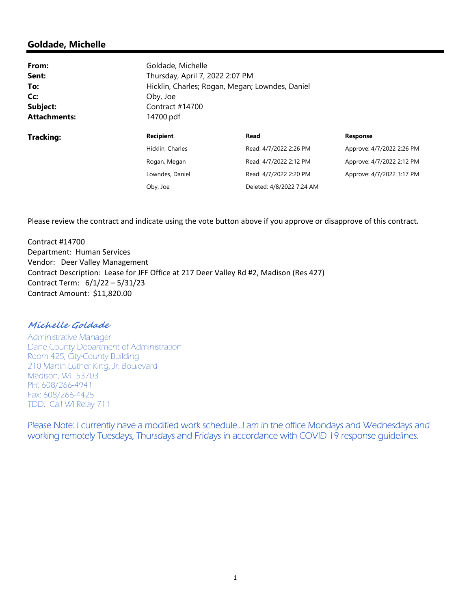## **Goldade, Michelle**

| From:               | Goldade, Michelle                                                                  |                           |                           |  |  |
|---------------------|------------------------------------------------------------------------------------|---------------------------|---------------------------|--|--|
| Sent:               | Thursday, April 7, 2022 2:07 PM<br>Hicklin, Charles; Rogan, Megan; Lowndes, Daniel |                           |                           |  |  |
| To:                 |                                                                                    |                           |                           |  |  |
| Cc:                 | Oby, Joe                                                                           |                           |                           |  |  |
| Subject:            | Contract $#14700$                                                                  |                           |                           |  |  |
| <b>Attachments:</b> | 14700.pdf                                                                          |                           |                           |  |  |
| Tracking:           | <b>Recipient</b>                                                                   | Read                      | <b>Response</b>           |  |  |
|                     | Hicklin, Charles                                                                   | Read: 4/7/2022 2:26 PM    | Approve: 4/7/2022 2:26 PM |  |  |
|                     | Rogan, Megan                                                                       | Read: 4/7/2022 2:12 PM    | Approve: 4/7/2022 2:12 PM |  |  |
|                     | Lowndes, Daniel                                                                    | Read: 4/7/2022 2:20 PM    | Approve: 4/7/2022 3:17 PM |  |  |
|                     | Oby, Joe                                                                           | Deleted: 4/8/2022 7:24 AM |                           |  |  |

Please review the contract and indicate using the vote button above if you approve or disapprove of this contract.

Contract #14700 Department: Human Services Vendor: Deer Valley Management Contract Description: Lease for JFF Office at 217 Deer Valley Rd #2, Madison (Res 427) Contract Term: 6/1/22 – 5/31/23 Contract Amount: \$11,820.00

**Michelle Goldade** 

Administrative Manager Dane County Department of Administration Room 425, City-County Building 210 Martin Luther King, Jr. Boulevard Madison, WI 53703 PH: 608/266-4941 Fax: 608/266-4425 TDD: Call WI Relay 711

Please Note: I currently have a modified work schedule…I am in the office Mondays and Wednesdays and working remotely Tuesdays, Thursdays and Fridays in accordance with COVID 19 response guidelines.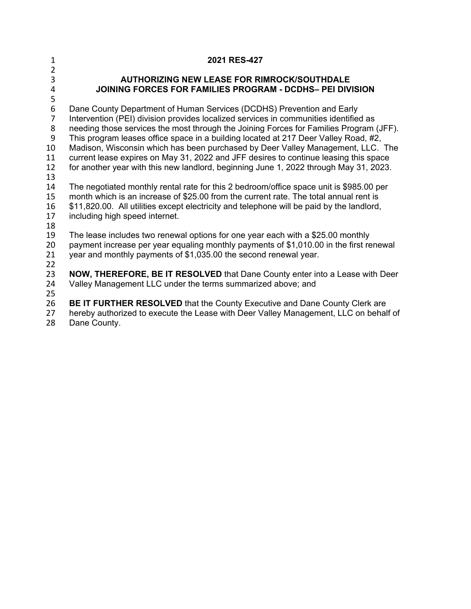| $\mathbf{1}$<br>$\overline{2}$ | 2021 RES-427                                                                                                                                                                  |
|--------------------------------|-------------------------------------------------------------------------------------------------------------------------------------------------------------------------------|
| $\overline{3}$                 | <b>AUTHORIZING NEW LEASE FOR RIMROCK/SOUTHDALE</b>                                                                                                                            |
| 4                              | JOINING FORCES FOR FAMILIES PROGRAM - DCDHS- PEI DIVISION                                                                                                                     |
| 5                              |                                                                                                                                                                               |
| 6                              | Dane County Department of Human Services (DCDHS) Prevention and Early                                                                                                         |
| $\overline{7}$                 | Intervention (PEI) division provides localized services in communities identified as                                                                                          |
| 8<br>9                         | needing those services the most through the Joining Forces for Families Program (JFF).<br>This program leases office space in a building located at 217 Deer Valley Road, #2, |
| 10                             | Madison, Wisconsin which has been purchased by Deer Valley Management, LLC. The                                                                                               |
| 11                             | current lease expires on May 31, 2022 and JFF desires to continue leasing this space                                                                                          |
| 12                             | for another year with this new landlord, beginning June 1, 2022 through May 31, 2023.                                                                                         |
| 13                             |                                                                                                                                                                               |
| 14                             | The negotiated monthly rental rate for this 2 bedroom/office space unit is \$985.00 per                                                                                       |
| 15                             | month which is an increase of \$25.00 from the current rate. The total annual rent is                                                                                         |
| 16<br>17                       | \$11,820.00. All utilities except electricity and telephone will be paid by the landlord,<br>including high speed internet.                                                   |
| 18                             |                                                                                                                                                                               |
| 19                             | The lease includes two renewal options for one year each with a \$25.00 monthly                                                                                               |
| 20                             | payment increase per year equaling monthly payments of \$1,010.00 in the first renewal                                                                                        |
| 21                             | year and monthly payments of \$1,035.00 the second renewal year.                                                                                                              |
| 22                             |                                                                                                                                                                               |
| 23                             | NOW, THEREFORE, BE IT RESOLVED that Dane County enter into a Lease with Deer                                                                                                  |
| 24                             | Valley Management LLC under the terms summarized above; and                                                                                                                   |
| 25<br>26                       | <b>BE IT FURTHER RESOLVED</b> that the County Executive and Dane County Clerk are                                                                                             |
| 27                             | hereby authorized to execute the Lease with Deer Valley Management, LLC on behalf of                                                                                          |

28 Dane County.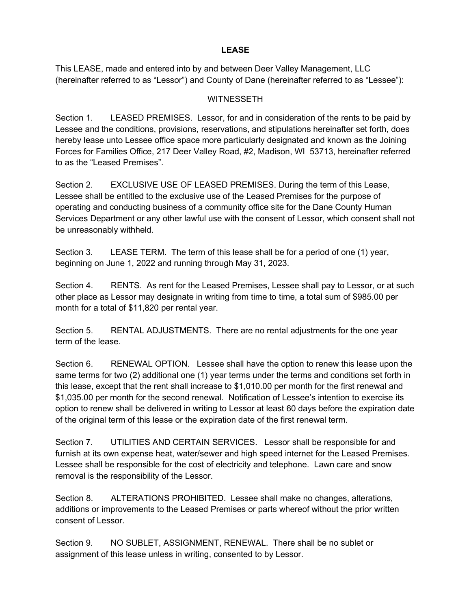## **LEASE**

This LEASE, made and entered into by and between Deer Valley Management, LLC (hereinafter referred to as "Lessor") and County of Dane (hereinafter referred to as "Lessee"):

## **WITNESSETH**

Section 1. LEASED PREMISES. Lessor, for and in consideration of the rents to be paid by Lessee and the conditions, provisions, reservations, and stipulations hereinafter set forth, does hereby lease unto Lessee office space more particularly designated and known as the Joining Forces for Families Office, 217 Deer Valley Road, #2, Madison, WI 53713, hereinafter referred to as the "Leased Premises".

Section 2. EXCLUSIVE USE OF LEASED PREMISES. During the term of this Lease, Lessee shall be entitled to the exclusive use of the Leased Premises for the purpose of operating and conducting business of a community office site for the Dane County Human Services Department or any other lawful use with the consent of Lessor, which consent shall not be unreasonably withheld.

Section 3. LEASE TERM. The term of this lease shall be for a period of one (1) year, beginning on June 1, 2022 and running through May 31, 2023.

Section 4. RENTS. As rent for the Leased Premises, Lessee shall pay to Lessor, or at such other place as Lessor may designate in writing from time to time, a total sum of \$985.00 per month for a total of \$11,820 per rental year.

Section 5. RENTAL ADJUSTMENTS. There are no rental adjustments for the one year term of the lease.

Section 6. RENEWAL OPTION. Lessee shall have the option to renew this lease upon the same terms for two (2) additional one (1) year terms under the terms and conditions set forth in this lease, except that the rent shall increase to \$1,010.00 per month for the first renewal and \$1,035.00 per month for the second renewal. Notification of Lessee's intention to exercise its option to renew shall be delivered in writing to Lessor at least 60 days before the expiration date of the original term of this lease or the expiration date of the first renewal term.

Section 7. UTILITIES AND CERTAIN SERVICES. Lessor shall be responsible for and furnish at its own expense heat, water/sewer and high speed internet for the Leased Premises. Lessee shall be responsible for the cost of electricity and telephone. Lawn care and snow removal is the responsibility of the Lessor.

Section 8. ALTERATIONS PROHIBITED. Lessee shall make no changes, alterations, additions or improvements to the Leased Premises or parts whereof without the prior written consent of Lessor.

Section 9. NO SUBLET, ASSIGNMENT, RENEWAL. There shall be no sublet or assignment of this lease unless in writing, consented to by Lessor.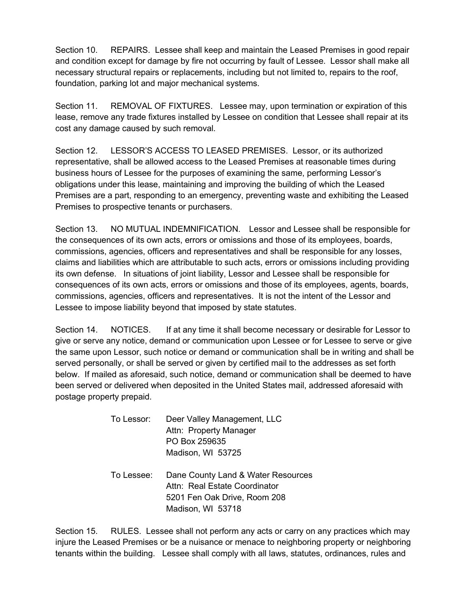Section 10. REPAIRS. Lessee shall keep and maintain the Leased Premises in good repair and condition except for damage by fire not occurring by fault of Lessee. Lessor shall make all necessary structural repairs or replacements, including but not limited to, repairs to the roof, foundation, parking lot and major mechanical systems.

Section 11. REMOVAL OF FIXTURES. Lessee may, upon termination or expiration of this lease, remove any trade fixtures installed by Lessee on condition that Lessee shall repair at its cost any damage caused by such removal.

Section 12. LESSOR'S ACCESS TO LEASED PREMISES. Lessor, or its authorized representative, shall be allowed access to the Leased Premises at reasonable times during business hours of Lessee for the purposes of examining the same, performing Lessor's obligations under this lease, maintaining and improving the building of which the Leased Premises are a part, responding to an emergency, preventing waste and exhibiting the Leased Premises to prospective tenants or purchasers.

Section 13. NO MUTUAL INDEMNIFICATION. Lessor and Lessee shall be responsible for the consequences of its own acts, errors or omissions and those of its employees, boards, commissions, agencies, officers and representatives and shall be responsible for any losses, claims and liabilities which are attributable to such acts, errors or omissions including providing its own defense. In situations of joint liability, Lessor and Lessee shall be responsible for consequences of its own acts, errors or omissions and those of its employees, agents, boards, commissions, agencies, officers and representatives. It is not the intent of the Lessor and Lessee to impose liability beyond that imposed by state statutes.

Section 14. NOTICES. If at any time it shall become necessary or desirable for Lessor to give or serve any notice, demand or communication upon Lessee or for Lessee to serve or give the same upon Lessor, such notice or demand or communication shall be in writing and shall be served personally, or shall be served or given by certified mail to the addresses as set forth below. If mailed as aforesaid, such notice, demand or communication shall be deemed to have been served or delivered when deposited in the United States mail, addressed aforesaid with postage property prepaid.

| To Lessor: | Deer Valley Management, LLC<br>Attn: Property Manager<br>PO Box 259635<br>Madison, WI 53725                              |
|------------|--------------------------------------------------------------------------------------------------------------------------|
| To Lessee: | Dane County Land & Water Resources<br>Attn: Real Estate Coordinator<br>5201 Fen Oak Drive, Room 208<br>Madison, WI 53718 |

Section 15. RULES. Lessee shall not perform any acts or carry on any practices which may injure the Leased Premises or be a nuisance or menace to neighboring property or neighboring tenants within the building. Lessee shall comply with all laws, statutes, ordinances, rules and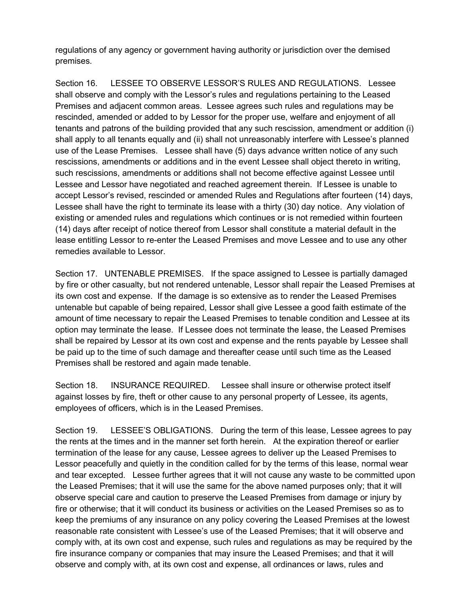regulations of any agency or government having authority or jurisdiction over the demised premises.

Section 16. LESSEE TO OBSERVE LESSOR'S RULES AND REGULATIONS. Lessee shall observe and comply with the Lessor's rules and regulations pertaining to the Leased Premises and adjacent common areas. Lessee agrees such rules and regulations may be rescinded, amended or added to by Lessor for the proper use, welfare and enjoyment of all tenants and patrons of the building provided that any such rescission, amendment or addition (i) shall apply to all tenants equally and (ii) shall not unreasonably interfere with Lessee's planned use of the Lease Premises. Lessee shall have (5) days advance written notice of any such rescissions, amendments or additions and in the event Lessee shall object thereto in writing, such rescissions, amendments or additions shall not become effective against Lessee until Lessee and Lessor have negotiated and reached agreement therein. If Lessee is unable to accept Lessor's revised, rescinded or amended Rules and Regulations after fourteen (14) days, Lessee shall have the right to terminate its lease with a thirty (30) day notice. Any violation of existing or amended rules and regulations which continues or is not remedied within fourteen (14) days after receipt of notice thereof from Lessor shall constitute a material default in the lease entitling Lessor to re-enter the Leased Premises and move Lessee and to use any other remedies available to Lessor.

Section 17. UNTENABLE PREMISES. If the space assigned to Lessee is partially damaged by fire or other casualty, but not rendered untenable, Lessor shall repair the Leased Premises at its own cost and expense. If the damage is so extensive as to render the Leased Premises untenable but capable of being repaired, Lessor shall give Lessee a good faith estimate of the amount of time necessary to repair the Leased Premises to tenable condition and Lessee at its option may terminate the lease. If Lessee does not terminate the lease, the Leased Premises shall be repaired by Lessor at its own cost and expense and the rents payable by Lessee shall be paid up to the time of such damage and thereafter cease until such time as the Leased Premises shall be restored and again made tenable.

Section 18. INSURANCE REQUIRED. Lessee shall insure or otherwise protect itself against losses by fire, theft or other cause to any personal property of Lessee, its agents, employees of officers, which is in the Leased Premises.

Section 19. LESSEE'S OBLIGATIONS. During the term of this lease, Lessee agrees to pay the rents at the times and in the manner set forth herein. At the expiration thereof or earlier termination of the lease for any cause, Lessee agrees to deliver up the Leased Premises to Lessor peacefully and quietly in the condition called for by the terms of this lease, normal wear and tear excepted. Lessee further agrees that it will not cause any waste to be committed upon the Leased Premises; that it will use the same for the above named purposes only; that it will observe special care and caution to preserve the Leased Premises from damage or injury by fire or otherwise; that it will conduct its business or activities on the Leased Premises so as to keep the premiums of any insurance on any policy covering the Leased Premises at the lowest reasonable rate consistent with Lessee's use of the Leased Premises; that it will observe and comply with, at its own cost and expense, such rules and regulations as may be required by the fire insurance company or companies that may insure the Leased Premises; and that it will observe and comply with, at its own cost and expense, all ordinances or laws, rules and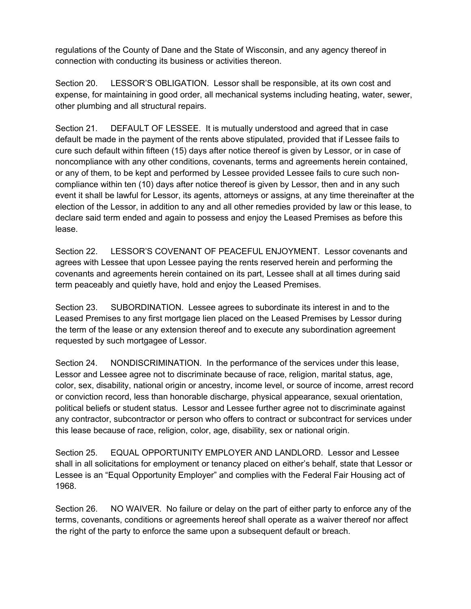regulations of the County of Dane and the State of Wisconsin, and any agency thereof in connection with conducting its business or activities thereon.

Section 20. LESSOR'S OBLIGATION. Lessor shall be responsible, at its own cost and expense, for maintaining in good order, all mechanical systems including heating, water, sewer, other plumbing and all structural repairs.

Section 21. DEFAULT OF LESSEE. It is mutually understood and agreed that in case default be made in the payment of the rents above stipulated, provided that if Lessee fails to cure such default within fifteen (15) days after notice thereof is given by Lessor, or in case of noncompliance with any other conditions, covenants, terms and agreements herein contained, or any of them, to be kept and performed by Lessee provided Lessee fails to cure such noncompliance within ten (10) days after notice thereof is given by Lessor, then and in any such event it shall be lawful for Lessor, its agents, attorneys or assigns, at any time thereinafter at the election of the Lessor, in addition to any and all other remedies provided by law or this lease, to declare said term ended and again to possess and enjoy the Leased Premises as before this lease.

Section 22. LESSOR'S COVENANT OF PEACEFUL ENJOYMENT. Lessor covenants and agrees with Lessee that upon Lessee paying the rents reserved herein and performing the covenants and agreements herein contained on its part, Lessee shall at all times during said term peaceably and quietly have, hold and enjoy the Leased Premises.

Section 23. SUBORDINATION. Lessee agrees to subordinate its interest in and to the Leased Premises to any first mortgage lien placed on the Leased Premises by Lessor during the term of the lease or any extension thereof and to execute any subordination agreement requested by such mortgagee of Lessor.

Section 24. NONDISCRIMINATION. In the performance of the services under this lease, Lessor and Lessee agree not to discriminate because of race, religion, marital status, age, color, sex, disability, national origin or ancestry, income level, or source of income, arrest record or conviction record, less than honorable discharge, physical appearance, sexual orientation, political beliefs or student status. Lessor and Lessee further agree not to discriminate against any contractor, subcontractor or person who offers to contract or subcontract for services under this lease because of race, religion, color, age, disability, sex or national origin.

Section 25. EQUAL OPPORTUNITY EMPLOYER AND LANDLORD. Lessor and Lessee shall in all solicitations for employment or tenancy placed on either's behalf, state that Lessor or Lessee is an "Equal Opportunity Employer" and complies with the Federal Fair Housing act of 1968.

Section 26. NO WAIVER. No failure or delay on the part of either party to enforce any of the terms, covenants, conditions or agreements hereof shall operate as a waiver thereof nor affect the right of the party to enforce the same upon a subsequent default or breach.